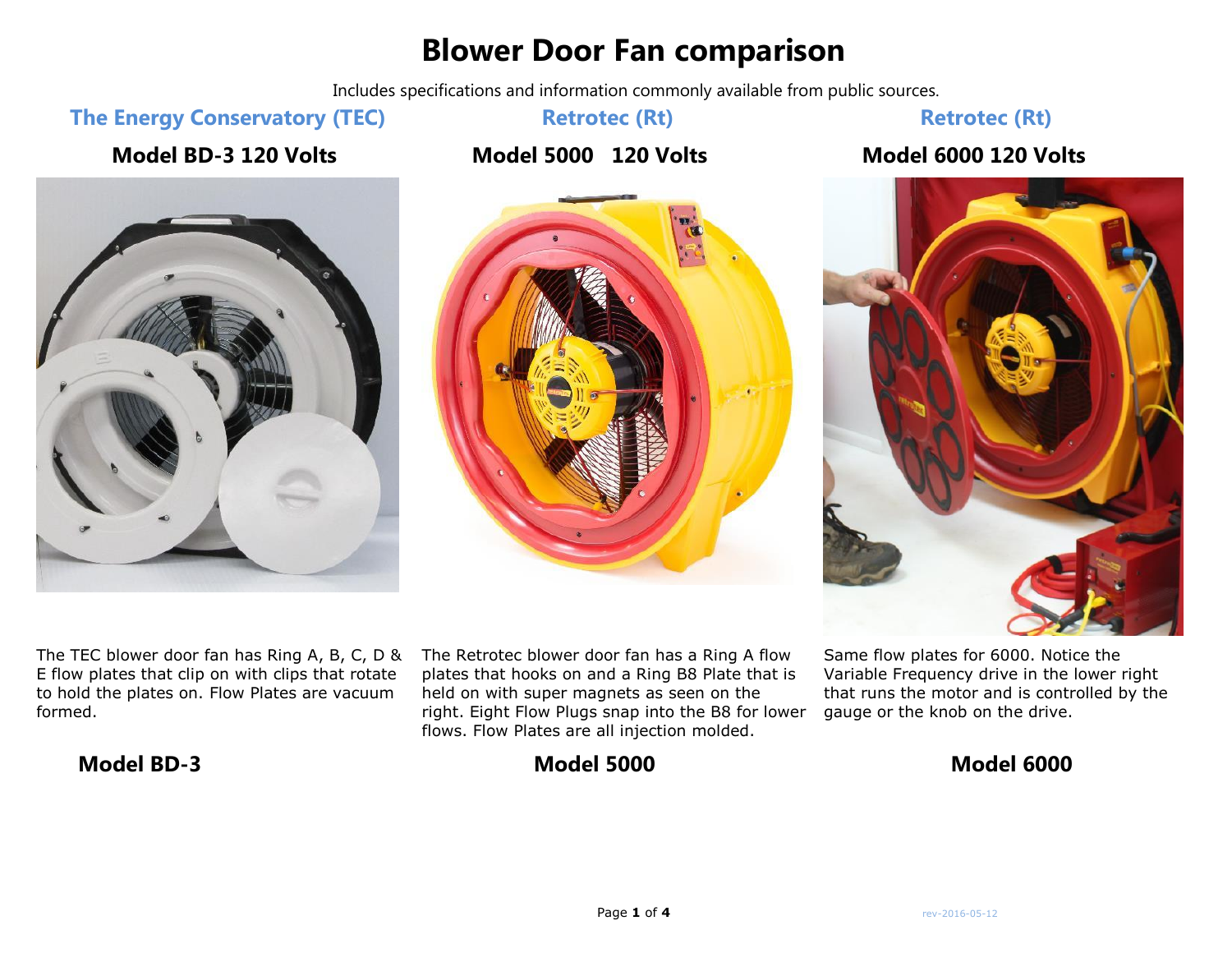# **Blower Door Fan comparison**

Includes specifications and information commonly available from public sources.

The Energy Conservatory (TEC) Retrotec (Rt) Retrotec (Rt) Retrotec (Rt)

# **Model BD-3 120 Volts Model 5000 120 Volts Model 6000 120 Volts**







The TEC blower door fan has Ring A, B, C, D & E flow plates that clip on with clips that rotate to hold the plates on. Flow Plates are vacuum formed.

The Retrotec blower door fan has a Ring A flow plates that hooks on and a Ring B8 Plate that is held on with super magnets as seen on the right. Eight Flow Plugs snap into the B8 for lower flows. Flow Plates are all injection molded.

Same flow plates for 6000. Notice the Variable Frequency drive in the lower right that runs the motor and is controlled by the gauge or the knob on the drive.

## **Model BD-3**

 **Model 5000 Model 6000**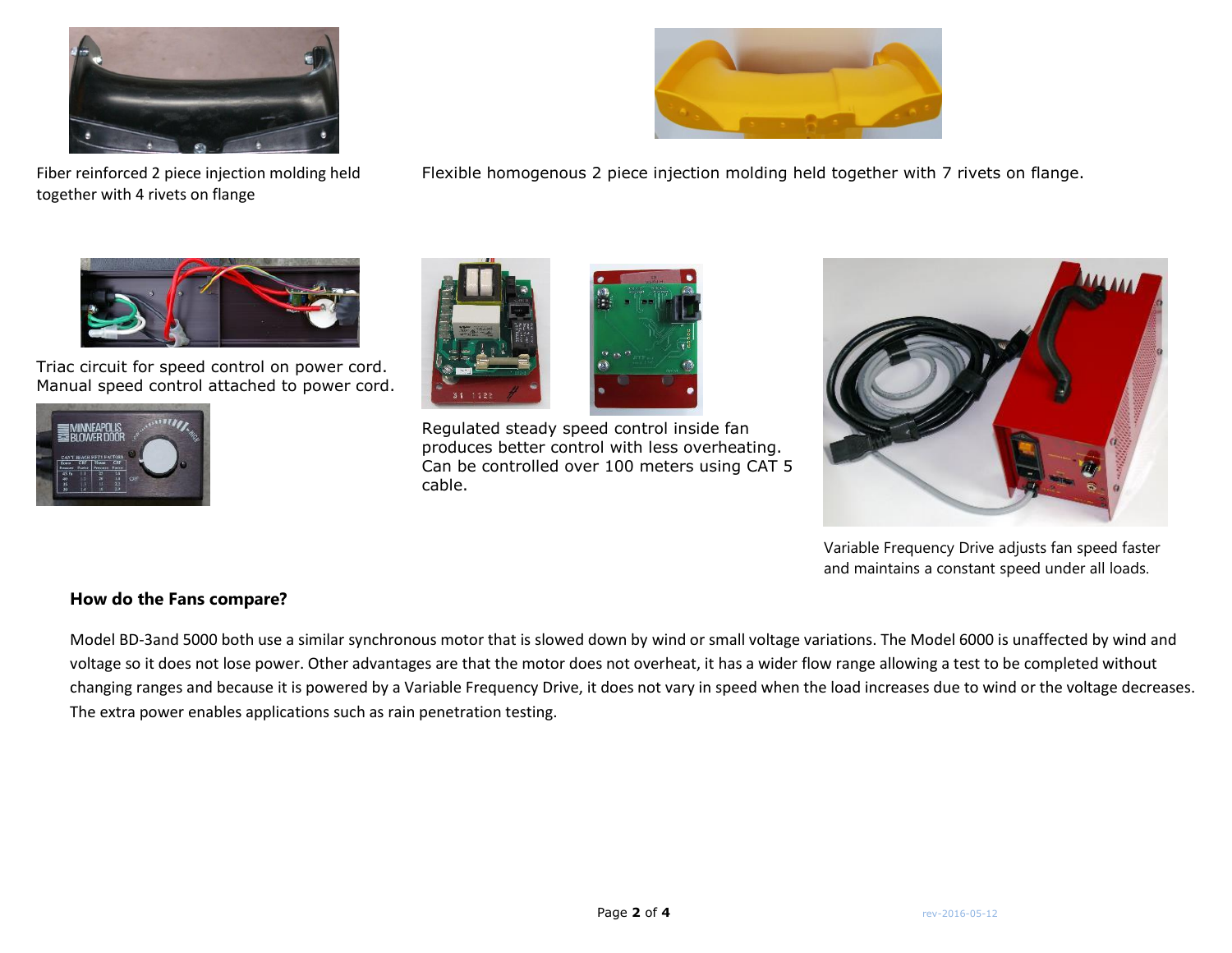

Fiber reinforced 2 piece injection molding held together with 4 rivets on flange



Flexible homogenous 2 piece injection molding held together with 7 rivets on flange.



Triac circuit for speed control on power cord. Manual speed control attached to power cord.







Regulated steady speed control inside fan produces better control with less overheating. Can be controlled over 100 meters using CAT 5 cable.



Variable Frequency Drive adjusts fan speed faster and maintains a constant speed under all loads.

### **How do the Fans compare?**

Model BD-3and 5000 both use a similar synchronous motor that is slowed down by wind or small voltage variations. The Model 6000 is unaffected by wind and voltage so it does not lose power. Other advantages are that the motor does not overheat, it has a wider flow range allowing a test to be completed without changing ranges and because it is powered by a Variable Frequency Drive, it does not vary in speed when the load increases due to wind or the voltage decreases. The extra power enables applications such as rain penetration testing.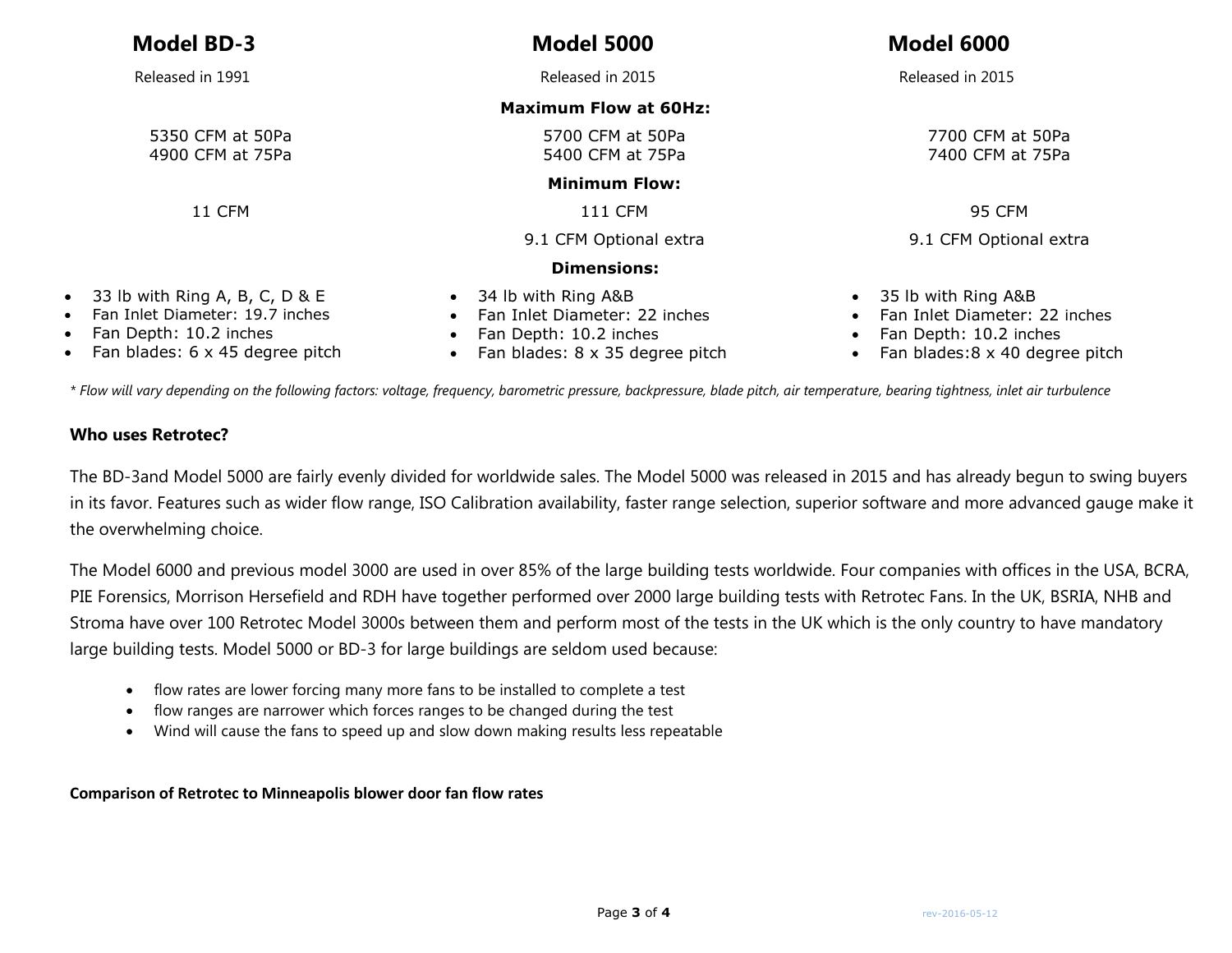| <b>Model BD-3</b>                                                                                                              | <b>Model 5000</b>                                                                                                                                          | Model 6000                                                                                                        |  |  |
|--------------------------------------------------------------------------------------------------------------------------------|------------------------------------------------------------------------------------------------------------------------------------------------------------|-------------------------------------------------------------------------------------------------------------------|--|--|
| Released in 1991                                                                                                               | Released in 2015                                                                                                                                           | Released in 2015                                                                                                  |  |  |
|                                                                                                                                | <b>Maximum Flow at 60Hz:</b>                                                                                                                               |                                                                                                                   |  |  |
| 5350 CFM at 50Pa<br>4900 CFM at 75Pa                                                                                           | 5700 CFM at 50Pa<br>5400 CFM at 75Pa                                                                                                                       | 7700 CFM at 50Pa<br>7400 CFM at 75Pa                                                                              |  |  |
|                                                                                                                                | <b>Minimum Flow:</b>                                                                                                                                       |                                                                                                                   |  |  |
| 11 CFM                                                                                                                         | <b>111 CFM</b>                                                                                                                                             | 95 CFM                                                                                                            |  |  |
|                                                                                                                                | 9.1 CFM Optional extra                                                                                                                                     | 9.1 CFM Optional extra                                                                                            |  |  |
|                                                                                                                                | <b>Dimensions:</b>                                                                                                                                         |                                                                                                                   |  |  |
| 33 lb with Ring A, B, C, D & E<br>Fan Inlet Diameter: 19.7 inches<br>Fan Depth: 10.2 inches<br>Fan blades: 6 x 45 degree pitch | • 34 lb with Ring A&B<br>Fan Inlet Diameter: 22 inches<br>$\bullet$<br>Fan Depth: 10.2 inches<br>$\bullet$<br>Fan blades: 8 x 35 degree pitch<br>$\bullet$ | 35 lb with Ring A&B<br>Fan Inlet Diameter: 22 inches<br>Fan Depth: 10.2 inches<br>Fan blades: 8 x 40 degree pitch |  |  |

*\* Flow will vary depending on the following factors: voltage, frequency, barometric pressure, backpressure, blade pitch, air temperature, bearing tightness, inlet air turbulence*

### **Who uses Retrotec?**

The BD-3and Model 5000 are fairly evenly divided for worldwide sales. The Model 5000 was released in 2015 and has already begun to swing buyers in its favor. Features such as wider flow range, ISO Calibration availability, faster range selection, superior software and more advanced gauge make it the overwhelming choice.

The Model 6000 and previous model 3000 are used in over 85% of the large building tests worldwide. Four companies with offices in the USA, BCRA, PIE Forensics, Morrison Hersefield and RDH have together performed over 2000 large building tests with Retrotec Fans. In the UK, BSRIA, NHB and Stroma have over 100 Retrotec Model 3000s between them and perform most of the tests in the UK which is the only country to have mandatory large building tests. Model 5000 or BD-3 for large buildings are seldom used because:

- flow rates are lower forcing many more fans to be installed to complete a test
- flow ranges are narrower which forces ranges to be changed during the test
- Wind will cause the fans to speed up and slow down making results less repeatable

### **Comparison of Retrotec to Minneapolis blower door fan flow rates**